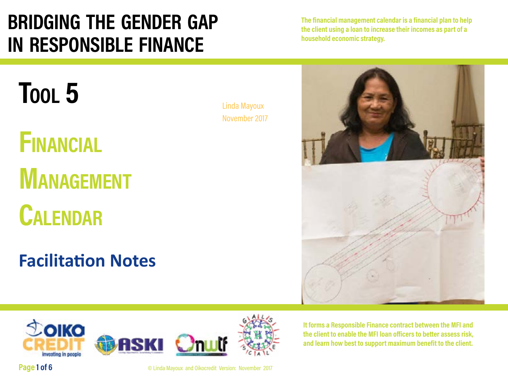# **bridging the gender gap in responsible finance**

**The financial management calendar is a financial plan to help the client using a loan to increase their incomes as part of a household economic strategy.** 



# **Tool 5**

# **Financial MANAGEMENT**

**Calendar**

# **Facilitation Notes**



**It forms a Responsible Finance contract between the MFI and the client to enable the MFI loan officers to better assess risk, and learn how best to support maximum benefit to the client.** 



**Page 1 of 6 C** Linda Mayoux and Oikocredit Version: November 2017

Linda Mayoux November 2017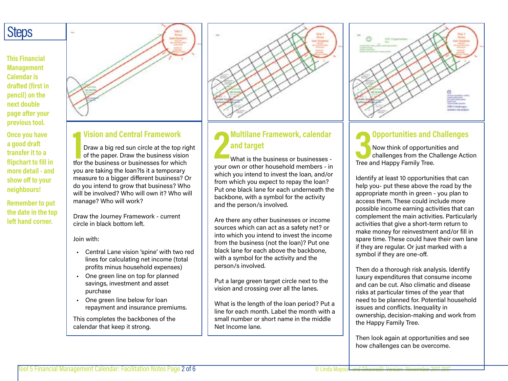# **Steps**

**This Financial Management Calendar is drafted (first in pencil) on the next double page after your previous tool.**

**Once you have a good draft transfer it to a flipchart to fill in more detail - and show off to your neighbours!**

**Remember to put the date in the top left hand corner.**



## **1 Vision and Central Framework**

Draw a big red sun circle at the top right of the paper. Draw the business vision tfor the business or businesses for which you are taking the loan?Is it a temporary measure to a bigger different business? Or do you intend to grow that business? Who will be involved? Who will own it? Who will manage? Who will work?

Draw the Journey Framework - current circle in black bottom left.

Join with:

- Central Lane vision 'spine' with two red lines for calculating net income (total profits minus household expenses)
- One green line on top for planned savings, investment and asset purchase
- One green line below for loan repayment and insurance premiums.

This completes the backbones of the calendar that keep it strong.



## **2 Multilane Framework, calendar and target**

What is the business or businesses your own or other household members - in which you intend to invest the loan, and/or from which you expect to repay the loan? Put one black lane for each underneath the backbone, with a symbol for the activity and the person/s involved.

Are there any other businesses or income sources which can act as a safety net? or into which you intend to invest the income from the business (not the loan)? Put one black lane for each above the backbone, with a symbol for the activity and the person/s involved.

Put a large green target circle next to the vision and crossing over all the lanes.

What is the length of the loan period? Put a line for each month. Label the month with a small number or short name in the middle Net Income lane.



### **3 Opportunities and Challenges** Now think of opportunities and challenges from the Challenge Action Tree and Happy Family Tree.

Identify at least 10 opportunities that can help you- put these above the road by the appropriate month in green - you plan to access them. These could include more possible income earning activities that can complement the main activities. Particularly activities that give a short-term return to make money for reinvestment and/or fill in spare time. These could have their own lane if they are regular. Or just marked with a symbol if they are one-off.

Then do a thorough risk analysis. Identify luxury expenditures that consume income and can be cut. Also climatic and disease risks at particular times of the year that need to be planned for. Potential household issues and conflicts. Inequality in ownership, decision-making and work from the Happy Family Tree.

Then look again at opportunities and see how challenges can be overcome.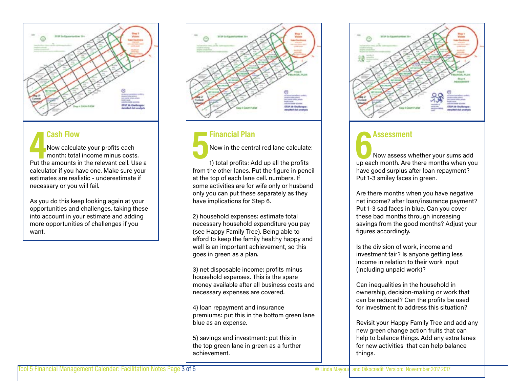

**4 Cash Flow<br>
Now calculate your profits each<br>
month: total income minus costs.<br>
Put the amounts in the relevant cell. Use a** Now calculate your profits each month: total income minus costs. calculator if you have one. Make sure your estimates are realistic - underestimate if necessary or you will fail.

As you do this keep looking again at your opportunities and challenges, taking these into account in your estimate and adding more opportunities of challenges if you want.



## **5 Financial Plan**

Now in the central red lane calculate:

1) total profits: Add up all the profits from the other lanes. Put the figure in pencil at the top of each lane cell. numbers. If some activities are for wife only or husband only you can put these separately as they have implications for Step 6.

2) household expenses: estimate total necessary household expenditure you pay (see Happy Family Tree). Being able to afford to keep the family healthy happy and well is an important achievement, so this goes in green as a plan.

3) net disposable income: profits minus household expenses. This is the spare money available after all business costs and necessary expenses are covered.

4) loan repayment and insurance premiums: put this in the bottom green lane blue as an expense.

5) savings and investment: put this in the top green lane in green as a further achievement.



**6 Assessment**<br>
Now assess whether your sums add<br>
up each month. Are there months when you Now assess whether your sums add have good surplus after loan repayment? Put 1-3 smiley faces in green.

Are there months when you have negative net income? after loan/insurance payment? Put 1-3 sad faces in blue. Can you cover these bad months through increasing savings from the good months? Adjust your figures accordingly.

Is the division of work, income and investment fair? Is anyone getting less income in relation to their work input (including unpaid work)?

Can inequalities in the household in ownership, decision-making or work that can be reduced? Can the profits be used for investment to address this situation?

Revisit your Happy Family Tree and add any new green change action fruits that can help to balance things. Add any extra lanes for new activities that can help balance things.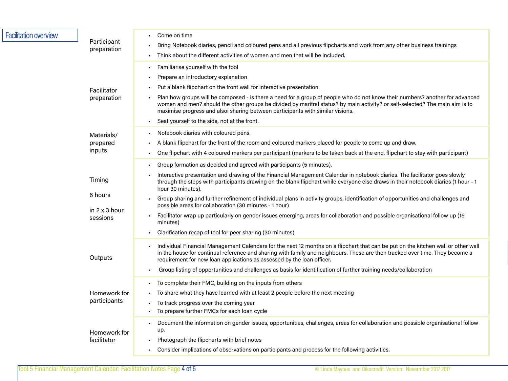| <b>Facilitation overview</b> | Participant<br>preparation                            | Come on time<br>Bring Notebook diaries, pencil and coloured pens and all previous flipcharts and work from any other business trainings<br>Think about the different activities of women and men that will be included.                                                                                                                                                                                                                                                                                                                                                                                                                                                                                                                                                             |
|------------------------------|-------------------------------------------------------|-------------------------------------------------------------------------------------------------------------------------------------------------------------------------------------------------------------------------------------------------------------------------------------------------------------------------------------------------------------------------------------------------------------------------------------------------------------------------------------------------------------------------------------------------------------------------------------------------------------------------------------------------------------------------------------------------------------------------------------------------------------------------------------|
|                              | Facilitator<br>preparation                            | Familiarise yourself with the tool<br>٠<br>Prepare an introductory explanation<br>٠<br>Put a blank flipchart on the front wall for interactive presentation.<br>Plan how groups will be composed - is there a need for a group of people who do not know their numbers? another for advanced<br>women and men? should the other groups be divided by maritral status? by main activity? or self-selected? The main aim is to<br>maximise progress and alsoi sharing between participants with similar visions.<br>Seat yourself to the side, not at the front.<br>٠                                                                                                                                                                                                                 |
|                              | Materials/<br>prepared<br>inputs                      | Notebook diaries with coloured pens.<br>A blank flipchart for the front of the room and coloured markers placed for people to come up and draw.<br>One flipchart with 4 coloured markers per participant (markers to be taken back at the end, flipchart to stay with participant)<br>٠                                                                                                                                                                                                                                                                                                                                                                                                                                                                                             |
|                              | Timing<br>6 hours<br>in $2 \times 3$ hour<br>sessions | Group formation as decided and agreed with participants (5 minutes).<br>٠<br>Interactive presentation and drawing of the Financial Management Calendar in notebook diaries. The facilitator goes slowly<br>through the steps with participants drawing on the blank flipchart while everyone else draws in their notebook diaries (1 hour - 1<br>hour 30 minutes).<br>Group sharing and further refinement of individual plans in activity groups, identification of opportunities and challenges and<br>٠<br>possible areas for collaboration (30 minutes - 1 hour)<br>Facilitator wrap up particularly on gender issues emerging, areas for collaboration and possible organisational follow up (15<br>minutes)<br>Clarification recap of tool for peer sharing (30 minutes)<br>٠ |
|                              | Outputs                                               | Individual Financial Management Calendars for the next 12 months on a flipchart that can be put on the kitchen wall or other wall<br>in the house for continual reference and sharing with family and neighbours. These are then tracked over time. They become a<br>requirement for new loan applications as assessed by the loan officer.<br>Group listing of opportunities and challenges as basis for identification of further training needs/collaboration<br>٠                                                                                                                                                                                                                                                                                                               |
|                              | Homework for<br>participants                          | To complete their FMC, building on the inputs from others<br>٠<br>To share what they have learned with at least 2 people before the next meeting<br>To track progress over the coming year<br>To prepare further FMCs for each loan cycle<br>٠                                                                                                                                                                                                                                                                                                                                                                                                                                                                                                                                      |
|                              | Homework for<br>facilitator                           | Document the information on gender issues, opportunities, challenges, areas for collaboration and possible organisational follow<br>$\blacksquare$<br>up.<br>Photograph the flipcharts with brief notes<br>٠<br>Consider implications of observations on participants and process for the following activities.                                                                                                                                                                                                                                                                                                                                                                                                                                                                     |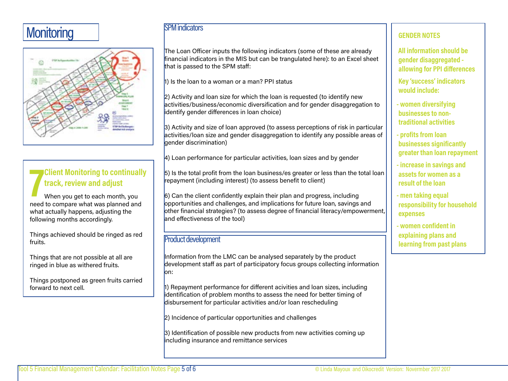# **Monitoring**



# **7 Client Monitoring to continually track, review and adjust**

When you get to each month, you need to compare what was planned and what actually happens, adjusting the following months accordingly.

Things achieved should be ringed as red fruits.

Things that are not possible at all are ringed in blue as withered fruits.

Things postponed as green fruits carried forward to next cell.

## SPM indicators

The Loan Officer inputs the following indicators (some of these are already financial indicators in the MIS but can be trangulated here): to an Excel sheet that is passed to the SPM staff:

1) Is the loan to a woman or a man? PPI status

2) Activity and loan size for which the loan is requested (to identify new activities/business/economic diversification and for gender disaggregation to identify gender differences in loan choice)

3) Activity and size of loan approved (to assess perceptions of risk in particular activities/loan size and gender disaggregation to identify any possible areas of **a**ender discrimination)

4) Loan performance for particular activities, loan sizes and by gender

5) Is the total profit from the loan business/es greater or less than the total loan repayment (including interest) (to assess benefit to client)

6) Can the client confidently explain their plan and progress, including opportunities and challenges, and implications for future loan, savings and other financial strategies? (to assess degree of financial literacy/empowerment, and effectiveness of the tool)

### Product development

Information from the LMC can be analysed separately by the product development staff as part of participatory focus groups collecting information on:

 $|1\rangle$  Repayment performance for different acivities and loan sizes, including identification of problem months to assess the need for better timing of disbursement for particular activities and/or loan rescheduling

2) Incidence of particular opportunities and challenges

3) Identification of possible new products from new activities coming up including insurance and remittance services

### **GENDER NOTES**

**All information should be gender disaggregated allowing for PPI differences**

**Key 'success' indicators would include:**

**- women diversifying businesses to nontraditional activities**

**- profits from loan businesses significantly greater than loan repayment**

- **increase in savings and assets for women as a result of the loan**
- **men taking equal responsibility for household expenses**
- **women confident in explaining plans and learning from past plans**